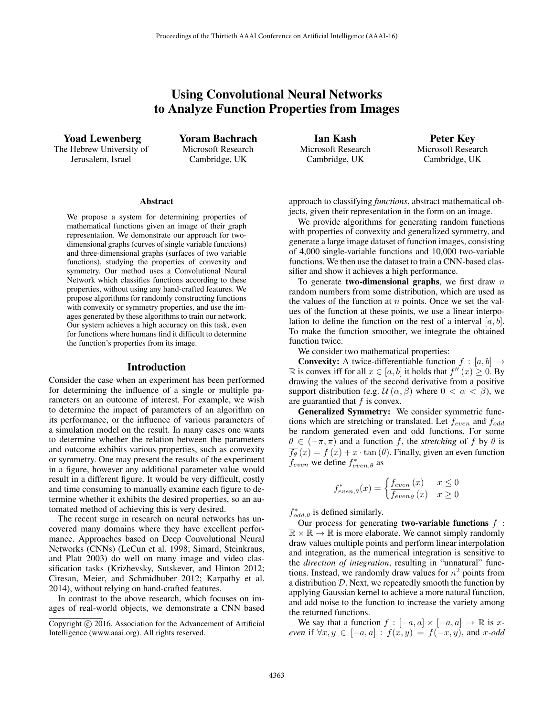# Using Convolutional Neural Networks to Analyze Function Properties from Images

Yoad Lewenberg The Hebrew University of Jerusalem, Israel

Yoram Bachrach Microsoft Research Cambridge, UK

Ian Kash Microsoft Research Cambridge, UK

Peter Key Microsoft Research Cambridge, UK

#### **Abstract**

We propose a system for determining properties of mathematical functions given an image of their graph representation. We demonstrate our approach for twodimensional graphs (curves of single variable functions) and three-dimensional graphs (surfaces of two variable functions), studying the properties of convexity and symmetry. Our method uses a Convolutional Neural Network which classifies functions according to these properties, without using any hand-crafted features. We propose algorithms for randomly constructing functions with convexity or symmetry properties, and use the images generated by these algorithms to train our network. Our system achieves a high accuracy on this task, even for functions where humans find it difficult to determine the function's properties from its image.

### Introduction

Consider the case when an experiment has been performed for determining the influence of a single or multiple parameters on an outcome of interest. For example, we wish to determine the impact of parameters of an algorithm on its performance, or the influence of various parameters of a simulation model on the result. In many cases one wants to determine whether the relation between the parameters and outcome exhibits various properties, such as convexity or symmetry. One may present the results of the experiment in a figure, however any additional parameter value would result in a different figure. It would be very difficult, costly and time consuming to manually examine each figure to determine whether it exhibits the desired properties, so an automated method of achieving this is very desired.

The recent surge in research on neural networks has uncovered many domains where they have excellent performance. Approaches based on Deep Convolutional Neural Networks (CNNs) (LeCun et al. 1998; Simard, Steinkraus, and Platt 2003) do well on many image and video classification tasks (Krizhevsky, Sutskever, and Hinton 2012; Ciresan, Meier, and Schmidhuber 2012; Karpathy et al. 2014), without relying on hand-crafted features.

In contrast to the above research, which focuses on images of real-world objects, we demonstrate a CNN based

approach to classifying *functions*, abstract mathematical objects, given their representation in the form on an image.

We provide algorithms for generating random functions with properties of convexity and generalized symmetry, and generate a large image dataset of function images, consisting of 4,000 single-variable functions and 10,000 two-variable functions. We then use the dataset to train a CNN-based classifier and show it achieves a high performance.

To generate **two-dimensional graphs**, we first draw  $n$ random numbers from some distribution, which are used as the values of the function at  $n$  points. Once we set the values of the function at these points, we use a linear interpolation to define the function on the rest of a interval  $[a, b]$ . To make the function smoother, we integrate the obtained function twice.

We consider two mathematical properties:

**Convexity:** A twice-differentiable function  $f : [a, b] \rightarrow$ R is convex iff for all  $x \in [a, b]$  it holds that  $f''(x) \ge 0$ . By drawing the values of the second derivative from a positive drawing the values of the second derivative from a positive support distribution (e.g.  $\mathcal{U}(\alpha, \beta)$  where  $0 < \alpha < \beta$ ), we are guarantied that  $f$  is convex.

Generalized Symmetry: We consider symmetric functions which are stretching or translated. Let  $f_{even}$  and  $f_{odd}$ be random generated even and odd functions. For some  $\theta \in (-\pi, \pi)$  and a function f, the *stretching* of f by  $\theta$  is  $\overline{f_{\theta}}(x) = f(x) + x \cdot \tan(\theta)$ . Finally, given an even function  $f_{even}$  we define  $f_{even,\theta}^*$  as

$$
f_{even,\theta}^*(x) = \begin{cases} f_{even}(x) & x \le 0\\ \overline{f_{even\theta}}(x) & x \ge 0 \end{cases}
$$

 $f_{odd,\theta}^*$  is defined similarly.<br>Our process for general

Our process for generating **two-variable functions**  $f$  :  $\mathbb{R} \times \mathbb{R} \to \mathbb{R}$  is more elaborate. We cannot simply randomly draw values multiple points and perform linear interpolation and integration, as the numerical integration is sensitive to the *direction of integration*, resulting in "unnatural" functions. Instead, we randomly draw values for  $n^2$  points from a distribution D. Next, we repeatedly smooth the function by applying Gaussian kernel to achieve a more natural function, and add noise to the function to increase the variety among the returned functions.

We say that a function  $f : [-a, a] \times [-a, a] \rightarrow \mathbb{R}$  is x*even* if  $\forall x, y \in [-a, a] : f(x, y) = f(-x, y)$ , and x-odd

Copyright  $\odot$  2016, Association for the Advancement of Artificial Intelligence (www.aaai.org). All rights reserved.